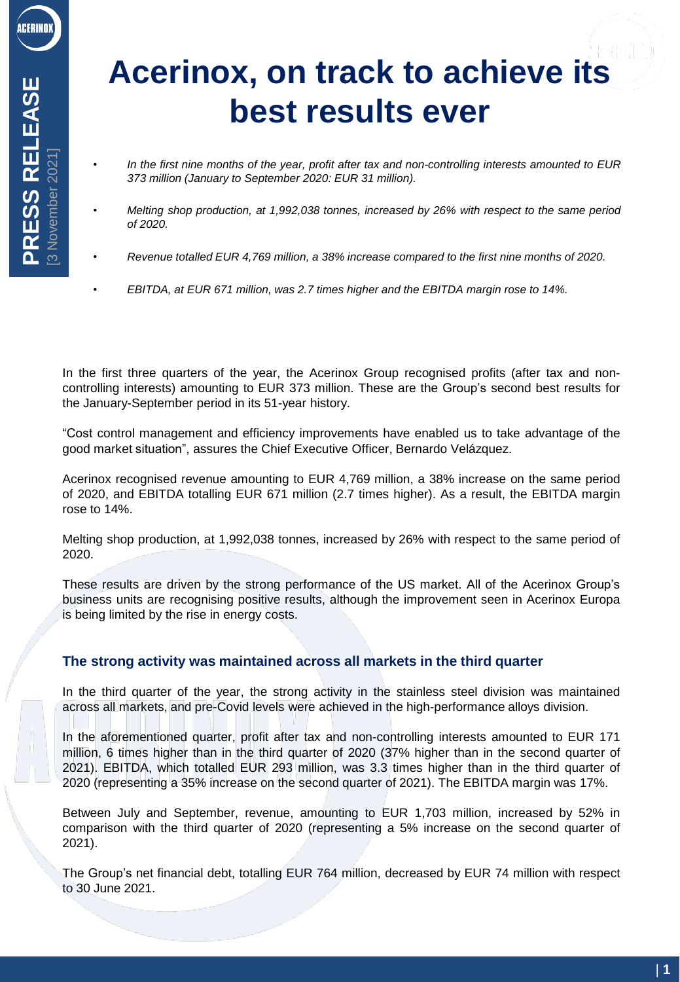# **Acerinox, on track to achieve its best results ever**

- *In the first nine months of the year, profit after tax and non-controlling interests amounted to EUR 373 million (January to September 2020: EUR 31 million).*
- *Melting shop production, at 1,992,038 tonnes, increased by 26% with respect to the same period of 2020.*
- *Revenue totalled EUR 4,769 million, a 38% increase compared to the first nine months of 2020.*
- *EBITDA, at EUR 671 million, was 2.7 times higher and the EBITDA margin rose to 14%.*

In the first three quarters of the year, the Acerinox Group recognised profits (after tax and noncontrolling interests) amounting to EUR 373 million. These are the Group's second best results for the January-September period in its 51-year history.

"Cost control management and efficiency improvements have enabled us to take advantage of the good market situation", assures the Chief Executive Officer, Bernardo Velázquez.

Acerinox recognised revenue amounting to EUR 4,769 million, a 38% increase on the same period of 2020, and EBITDA totalling EUR 671 million (2.7 times higher). As a result, the EBITDA margin rose to 14%.

Melting shop production, at 1,992,038 tonnes, increased by 26% with respect to the same period of 2020.

These results are driven by the strong performance of the US market. All of the Acerinox Group's business units are recognising positive results, although the improvement seen in Acerinox Europa is being limited by the rise in energy costs.

## **The strong activity was maintained across all markets in the third quarter**

In the third quarter of the year, the strong activity in the stainless steel division was maintained across all markets, and pre-Covid levels were achieved in the high-performance alloys division.

In the aforementioned quarter, profit after tax and non-controlling interests amounted to EUR 171 million, 6 times higher than in the third quarter of 2020 (37% higher than in the second quarter of 2021). EBITDA, which totalled EUR 293 million, was 3.3 times higher than in the third quarter of 2020 (representing a 35% increase on the second quarter of 2021). The EBITDA margin was 17%.

Between July and September, revenue, amounting to EUR 1,703 million, increased by 52% in comparison with the third quarter of 2020 (representing a 5% increase on the second quarter of 2021).

The Group's net financial debt, totalling EUR 764 million, decreased by EUR 74 million with respect to 30 June 2021.